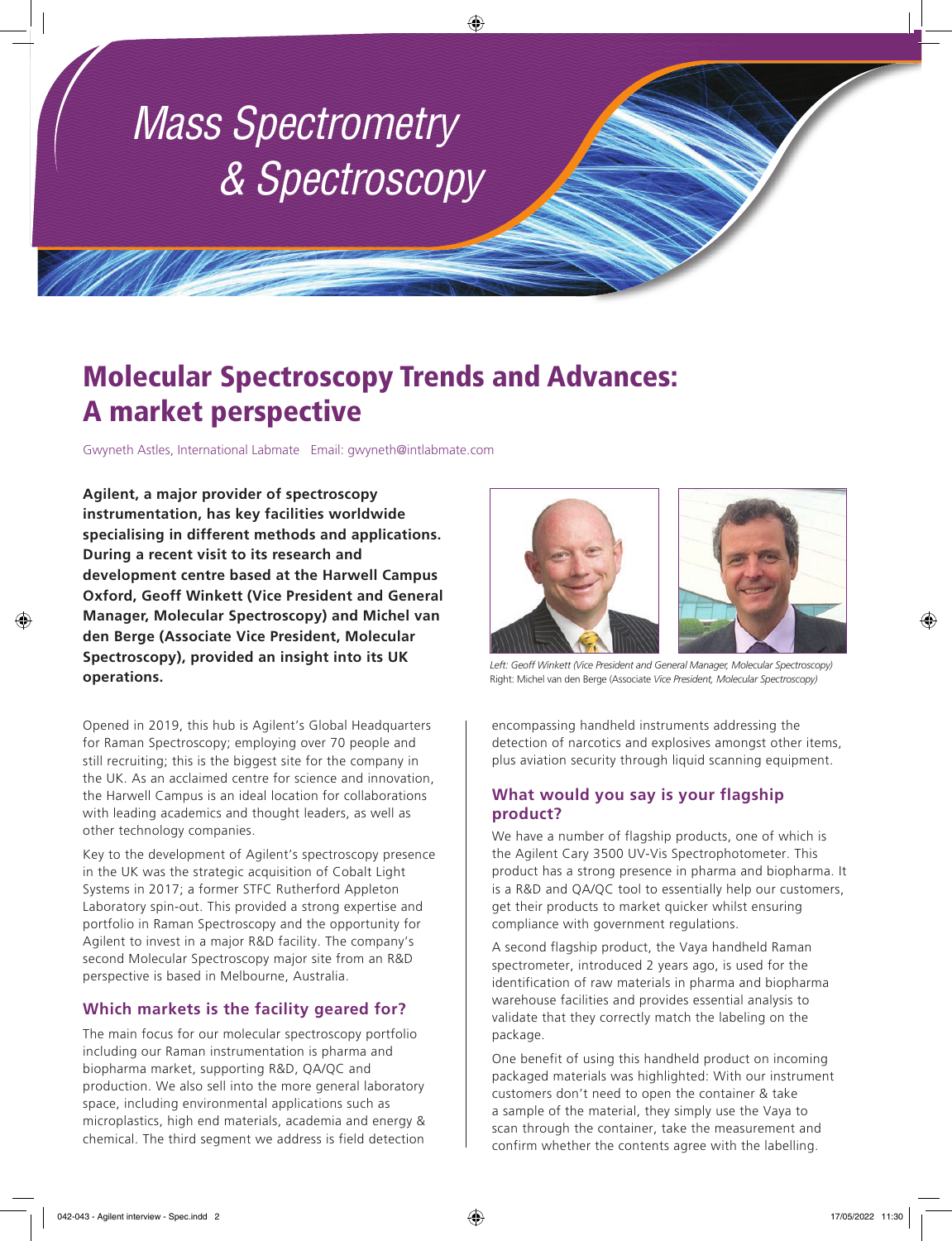# *Mass Spectrometry & Spectroscopy*

# Molecular Spectroscopy Trends and Advances: A market perspective

Gwyneth Astles, International Labmate Email: gwyneth@intlabmate.com

**Agilent, a major provider of spectroscopy instrumentation, has key facilities worldwide specialising in different methods and applications. During a recent visit to its research and development centre based at the Harwell Campus Oxford, Geoff Winkett (Vice President and General Manager, Molecular Spectroscopy) and Michel van den Berge (Associate Vice President, Molecular Spectroscopy), provided an insight into its UK operations.** 

Opened in 2019, this hub is Agilent's Global Headquarters for Raman Spectroscopy; employing over 70 people and still recruiting; this is the biggest site for the company in the UK. As an acclaimed centre for science and innovation, the Harwell Campus is an ideal location for collaborations with leading academics and thought leaders, as well as other technology companies.

Key to the development of Agilent's spectroscopy presence in the UK was the strategic acquisition of Cobalt Light Systems in 2017; a former STFC Rutherford Appleton Laboratory spin-out. This provided a strong expertise and portfolio in Raman Spectroscopy and the opportunity for Agilent to invest in a major R&D facility. The company's second Molecular Spectroscopy major site from an R&D perspective is based in Melbourne, Australia.

## **Which markets is the facility geared for?**

The main focus for our molecular spectroscopy portfolio including our Raman instrumentation is pharma and biopharma market, supporting R&D, QA/QC and production. We also sell into the more general laboratory space, including environmental applications such as microplastics, high end materials, academia and energy & chemical. The third segment we address is field detection





*Left: Geoff Winkett (Vice President and General Manager, Molecular Spectroscopy)* Right: Michel van den Berge (Associate *Vice President, Molecular Spectroscopy)*

encompassing handheld instruments addressing the detection of narcotics and explosives amongst other items, plus aviation security through liquid scanning equipment.

### **What would you say is your flagship product?**

We have a number of flagship products, one of which is the Agilent Cary 3500 UV-Vis Spectrophotometer. This product has a strong presence in pharma and biopharma. It is a R&D and QA/QC tool to essentially help our customers, get their products to market quicker whilst ensuring compliance with government regulations.

A second flagship product, the Vaya handheld Raman spectrometer, introduced 2 years ago, is used for the identification of raw materials in pharma and biopharma warehouse facilities and provides essential analysis to validate that they correctly match the labeling on the package.

One benefit of using this handheld product on incoming packaged materials was highlighted: With our instrument customers don't need to open the container & take a sample of the material, they simply use the Vaya to scan through the container, take the measurement and confirm whether the contents agree with the labelling.